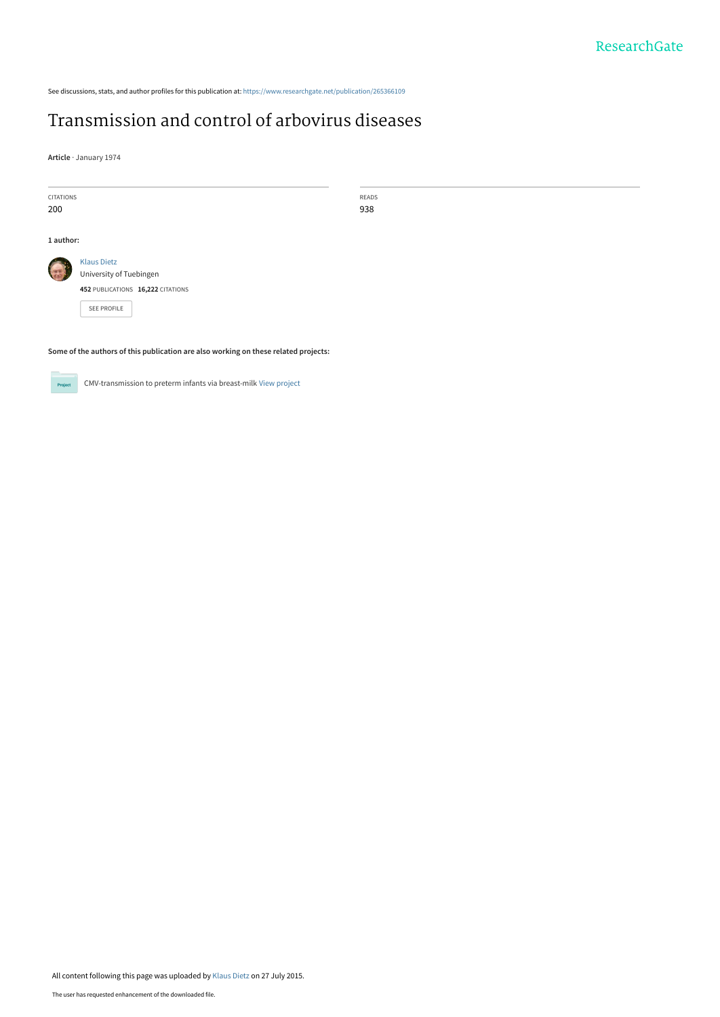See discussions, stats, and author profiles for this publication at: https://www.researchgate.net/publication/265366109

## Transmission and control of arbovirus diseases

**Article** · January 1974

| <b>CITATIONS</b> |                                   | READS |  |
|------------------|-----------------------------------|-------|--|
| 200              |                                   | 938   |  |
|                  |                                   |       |  |
| 1 author:        |                                   |       |  |
| <b>SER</b>       | <b>Klaus Dietz</b>                |       |  |
|                  | University of Tuebingen           |       |  |
|                  | 452 PUBLICATIONS 16,222 CITATIONS |       |  |
|                  | SEE PROFILE                       |       |  |

**Some of the authors of this publication are also working on these related projects:**



CMV-transmission to preterm infants via breast-milk View project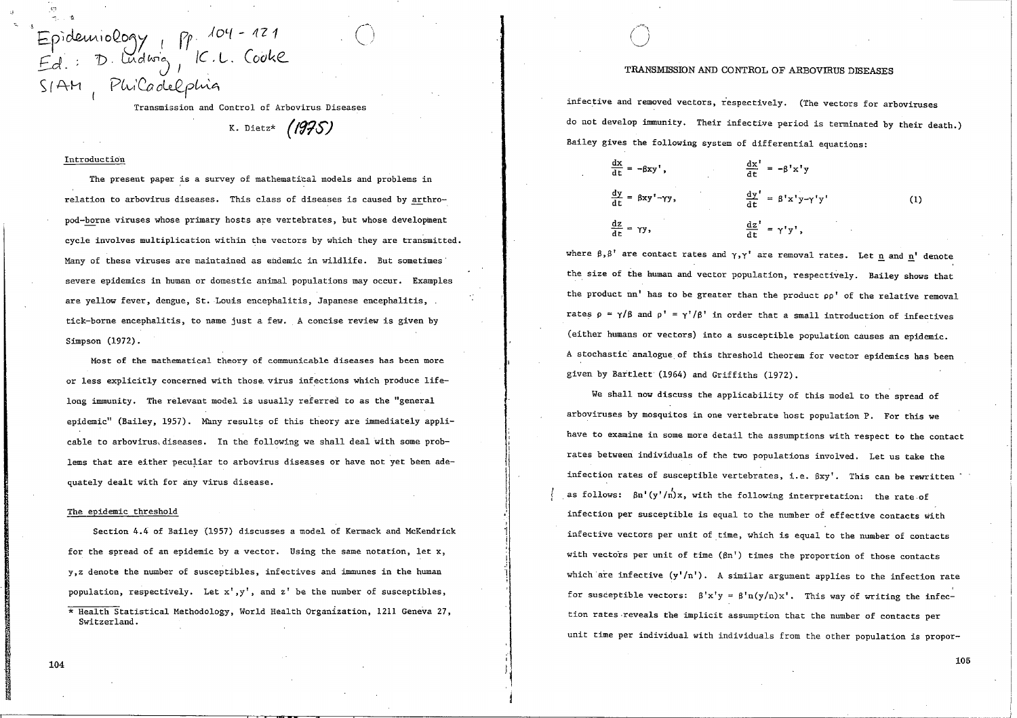Jo'-( - 121 Eprocessinocom) 1 11<sup>'</sup><br>Ed: D. Ludwig K.L. Cooke *EJ.· 'b* GAcl Wo*J* <sup>I</sup> *Pt*   $|C_\cdot L_\cdot|$  $S/AH$  PhiCadelphia

Transmission and Control of Arbovirus Diseases

K. Dietz\* (1975)

#### Introduction

The present paper is a survey of mathematical models and problems in relation to arbovirus diseases. This class of diseases is caused by arthropod-borne viruses whose primary hosts are vertebrates, but whose development cycle involves multiplication within the vectors by which they are transmitted. Many of these viruses are maintained as endemic in wildlife. But sometimes severe epidemics in human or domestic animal populations may occur. Examples are yellow fever, dengue, St. Louis encephalitis, Japanese encephalitis, tick-borne encephalitis, to name just a few. A concise review is given by Simpson (1972).

Most of the mathematical theory of communicable diseases has been more or less explicitly concerned with those. virus infections which produce lifelong immunity. The relevant model is usually referred to as the "general epidemic" (Bailey, 1957). Many results of this theory are immediately applicable to arbovirus diseases. In the following we shall deal with some problems that are either peculiar to arbovirus diseases or have not yet been adequately dealt with for any virus disease.

#### The epidemic threshold

Section 4.4 of Bailey (1957) discusses a model of Kermack and McKendrick for the spread of an epidemic by a vector. Using the same notation, let x, y,z denote the number of susceptibles, infectives and immunes in the human population, respectively. Let  $x'$ ,  $y'$ , and  $z'$  be the number of susceptibles, \* Health Statistical Methodology, World Health Organization, 1211 Geneva 27, Switzerland.

#### TRANSMISSION AND CONTROL OF ARBOVIRUS DISEASES

infective and removed vectors, respectively. (The vectors for arboviruses do not develop immunity. Their infective period is terminated by their death.) Bailey gives the following system of differential equations:

$$
\frac{dx}{dt} = -\beta xy', \qquad \frac{dx'}{dt} = -\beta' x' y
$$
  

$$
\frac{dy}{dt} = \beta xy' - \gamma y, \qquad \frac{dy'}{dt} = \beta' x' y - \gamma' y' \qquad (1)
$$
  

$$
\frac{dz}{dt} = \gamma y, \qquad \frac{dz'}{dt} = \gamma' y',
$$

where  $\beta$ , $\beta'$  are contact rates and  $\gamma$ , $\gamma'$  are removal rates. Let n and n' denote the size of the human and vector population, respectively. Bailey shows that the product nn' has to be greater than the product oo' of the relative removal rates  $p = \gamma/\beta$  and  $p' = \gamma'/\beta'$  in order that a small introduction of infectives (either humans or vectors) into a susceptible population causes an epidemic. A stochastic analogue of this threshold theorem for vector epidemics has been given by Bartlett (1964) and Griffiths (1972).

We shall now discuss the applicability of this model to the spread of arboviruses by mosquitos in one vertebrate host population P. For this we have to examine in some more detail the assumptions with respect to the contact rates between individuals of the two populations involved. Let us take the infection rates of susceptible vertebrates, i.e. ßxy'. This can be rewritten as follows:  $8n'$ (y'/n)x, with the following interpretation: the rate of infection per susceptible is equal to the number of effective contacts with infective vectors per unit of time, which is equal to the number of contacts with vectors per unit of time  $(\beta n')$  times the proportion of those contacts which are infective  $(y'/n')$ . A similar argument applies to the infection rate for susceptible vectors:  $\beta' x' y = \beta' n(y/n) x'$ . This way of writing the infection rates·reveals the implicit assumption that the number of contacts per unit time per individual with individuals from the other population is propor-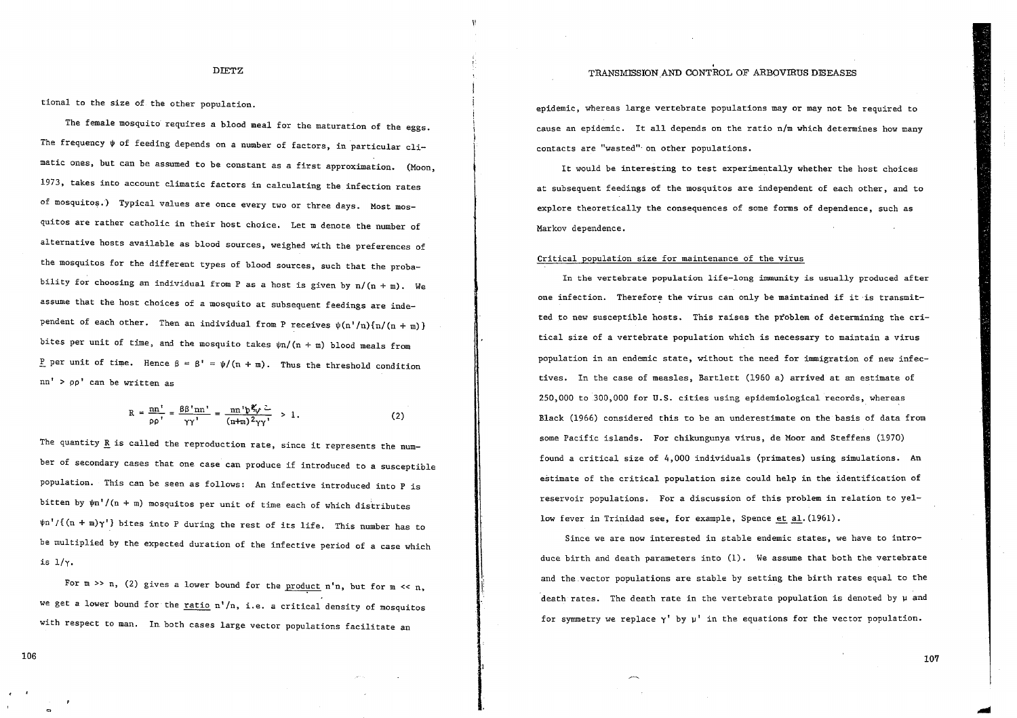#### TRANSMISSION AND CONTROL OF ARBOVIRUS DISEASES

DIETZ

tional to the size of the other population.

The female mosquito requires a blood meal for the maturation of the eggs. The frequency  $\psi$  of feeding depends on a number of factors, in particular climatic ones, but can be assumed to be constant as a first approximation. (Moon, 1973, takes into account climatic factors in calculating the infection rates of mosquitos.) Typical values are once every two or three days. Most mosquitos are rather catholic in their host choice. Let m denote the number of alternative hosts available as blood sources, weighed with the preferences of the mosquitos for the different types of blood sources, such that the probability for choosing an individual from P as a host is given by  $n/(n + m)$ . We assume that the host choices of a mosquito at subsequent feedings are independent of each other. Then an individual from P receives  $\psi(n'/n)\{n/(n+m)\}\$ bites per unit of time, and the mosquito takes  $\psi$ n/(n + m) blood meals from P per unit of time. Hence  $\beta = \beta' = \psi/(\eta + \pi)$ . Thus the threshold condition nn' > oo' can be written as

$$
R = \frac{nn'}{pp'} = \frac{\beta \beta' nn'}{\gamma \gamma'} = \frac{nn'p \frac{p}{\gamma} \sqrt{2}}{(n+m) 2\gamma \gamma'} > 1.
$$
 (2)

The quantity R is called the reproduction rate, since it represents the number of secondary cases that one case can produce if introduced to a susceptible population. This can be seen as follows: An infective introduced into P is bitten by  $\psi n'/(n + m)$  mosquitos per unit of time each of which distributes  $\psi$ n'/{(n + m) $\gamma'$ } bites into P during the rest of its life. This number has to be multiplied by the expected duration of the infective period of a case which is  $1/\gamma$ .

For  $m \gg n$ , (2) gives a lower bound for the product  $n'$ n, but for  $m \ll n$ , we get a lower bound for the ratio  $n'/n$ , i.e. a critical density of mosquitos with respect to man. In both cases large vector populations facilitate an

epidemic, whereas large vertebrate populations may or may not be required to cause an epidemic. It all depends on the ratio n/m which determines how many contacts are "wasted" on other populations.

It would be interesting to test experimentally whether the host choices at subsequent feedings of the mosquitos are independent of each other, and to explore theoretically the consequences of some forms of dependence, such as Markov dependence.

#### Critical population size for maintenance of the virus

In the vertebrate population life-long immunity is usually produced after one infection. Therefore the virus can only be maintained if it is transmitted to new susceptible hosts. This raises the problem of determining the critical size of a vertebrate population which is necessary to maintain a virus population in an endemic state, without the need for immigration of new infectives. In the case of measles, Bartlett (1960 a) arrived at an estimate of 250,000 to 300,000 for U.S. cities using epidemiological records, whereas Black (1966) considered this to be an underestimate on the basis of data from some Pacific islands. For chikungunya virus, de Moor and Steffens (1970) found a critical size of 4,000 individuals (primates) using simulations. An estimate of the critical population size could help in the identification of reservoir populations. For a discussion of this problem in relation to yellow fever in Trinidad see, for example, Spence et al. (1961).

Since we are now interested in stable endemic states, we have to introduce birth and death parameters into  $(1)$ . We assume that both the vertebrate and the vector populations are stable by setting the birth rates equal to the death rates. The death rate in the vertebrate population is denoted by  $\mu$  and for symmetry we replace y' by u' in the equations for the vector population.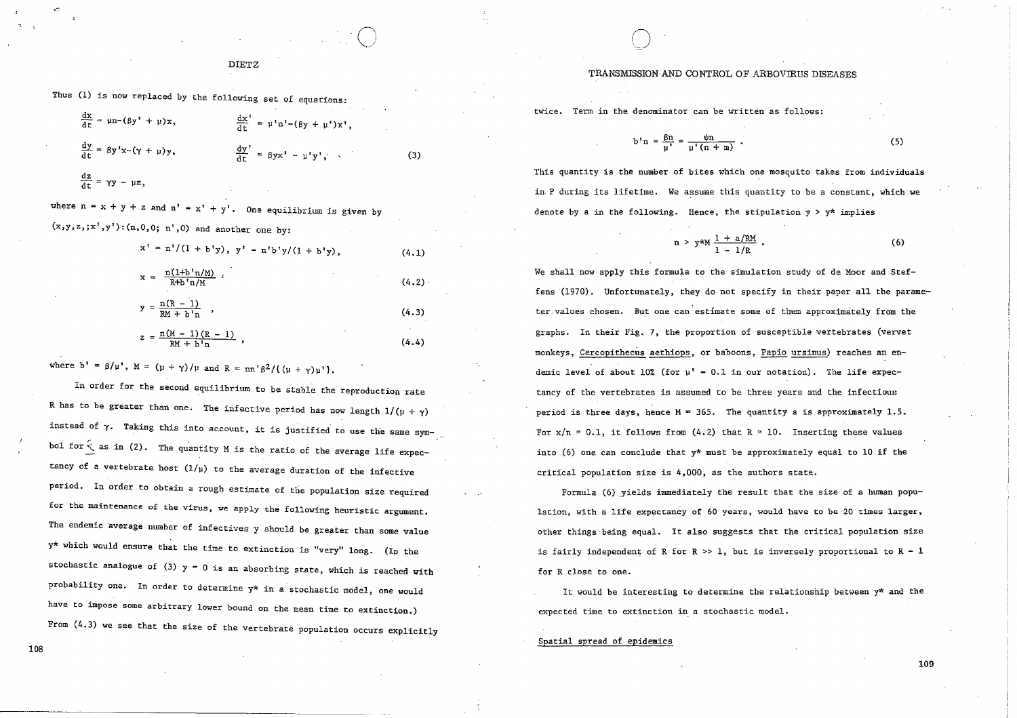Thus (1) is now replaced by the following set of equations:

$$
\frac{dx}{dt} = \mu n - (\beta y' + \mu)x, \qquad \frac{dx'}{dt} = \mu' n' - (\beta y + \mu')x',
$$
  

$$
\frac{dy}{dt} = \beta y' x - (\gamma + \mu)y, \qquad \frac{dy'}{dt} = \beta y x' - \mu' y', \qquad (3)
$$
  

$$
\frac{dz}{dt} = \gamma y - \mu z,
$$

where  $n = x + y + z$  and  $n' = x' + y'$ . One equilibrium is given by  $(x,y,z,jx',y')$ :  $(n,0,0; n',0)$  and another one by:

$$
x' = n'/(1 + b'y), y' = n'b'y/(1 + b'y),
$$
\n
$$
x = \frac{n(1+b'n/M)}{R+b'n/M}.
$$
\n(4.1)\n
$$
y = \frac{n(R-1)}{RM + b'n},
$$
\n(4.2)\n
$$
z = \frac{n(M-1)(R-1)}{RM + b'n},
$$
\n(4.3)\n(4.4)

o

where  $b' = \beta/\mu'$ ,  $M = (\mu + \gamma)/\mu$  and  $R = nn'\beta^2/((\mu + \gamma)\mu')$ .

In order for the second equilibrium to be stable the reproduction rate R has to be greater than one. The infective period has now length  $1/(\mu + \gamma)$ instead of  $\gamma$ . Taking this into account, it is justified to use the same symbol for  $\zeta$  as in (2). The quantity M is the ratio of the average life expectancy of a vertebrate host  $(1/\mu)$  to the average duration of the infective period. In order to obtain a rough estimate of the population size required **for the maintenance of the virus, we apply the following heuristic argument.**  The endemic average number of infectives y should be greater than some value y\* which would ensure that the time to extinction is "very" long. (In the stochastic analogue of (3)  $y = 0$  is an absorbing state, which is reached with probability one. In order to determine y\* in a stochastic model, one would have to impose some arbitrary lower bound on the mean time to extinction.) From  $(4.3)$  we see that the size of the vertebrate population occurs explicitly

#### TRANSMISSION AND CONTROL OF ARBOVIRUS DISEASES

twice. Term in the denominator can be written as folIows:

o

$$
b^{t} n = \frac{\beta n}{\mu^{t}} = \frac{\psi n}{\mu^{t} (n + m)} \tag{5}
$$

This quantity is the number of bites which one mosquito takes from individuals in P during its lifetime. We assume this quantity to be a constant, which we denote by a in the following. Hence, the stipulation  $y > y^*$  implies

$$
n > y^{\star}M \frac{1 + a/RM}{1 - 1/R} \tag{6}
$$

We shall now apply this formula to the simulation study of de Moor and Steffens '(1970). Unfortunately, they do not specify in their paper al'l the parameter,values chosen. But one can'estimate some of them approximately from the graphs. In their Fig. 7, the proportion of susceptible vertebrates (vervet monkeys, Cercopithecus aethiops, or baboons, Papio ursinus) reaches an endemic level of about  $10\%$  (for  $u' = 0.1$  in our notation). The life expectancy of the vertebrates is assumed to be three years and the infectious period is three days, hence  $M = 365$ . The quantity a is approximately 1.5. For  $x/n \approx 0.1$ , it follows from (4.2) that  $R \approx 10$ . Inserting these values into (6) one can conclude that  $y*$  must be approximately equal to 10 if the critical population size is 4,000, as the authors state.

Formula (6) yields immediately the result that the size of a human population, with a life expectancy of 60 years, would have to be 20 times larger, other things'being equal. It also suggests that the critical population size is fairly independent of R for R  $>> 1$ , but is inversely proportional to R - 1 for R close to one.

It would be interesting to determine the relationship between y\* and the expected time to extinction in a stochastic model.

#### Spatial spread of epidemics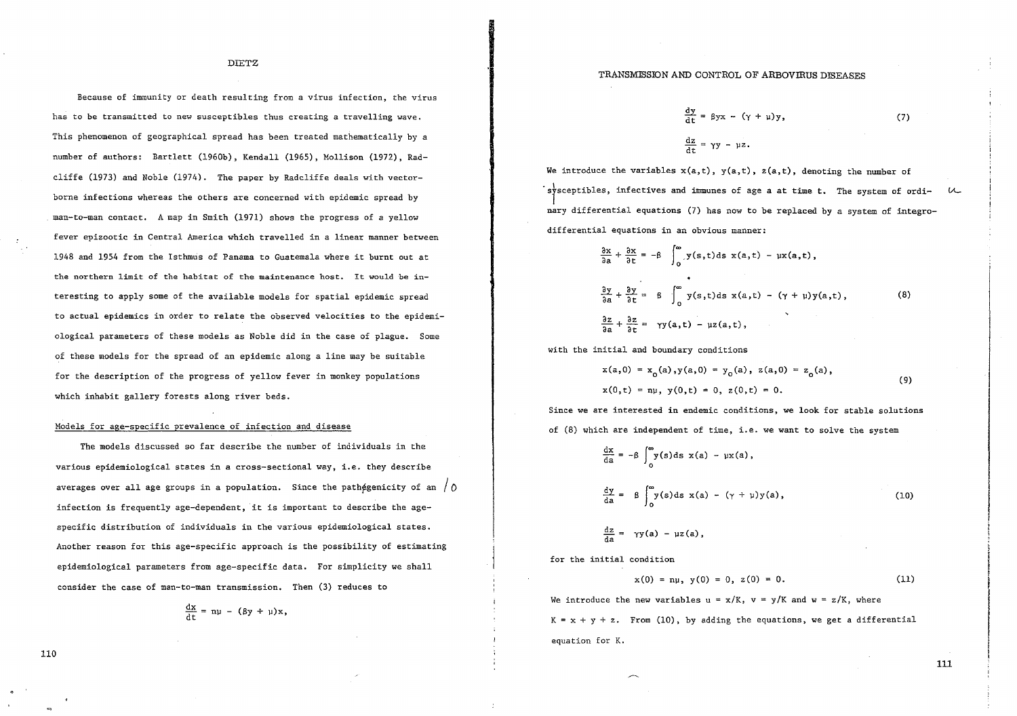Because of immunity or death resulting from a virus infection, the virus has to be transmitted to new susceptibles thus creating a travelling wave. This phenomenon of geographical spread has been treated mathematieally by a number of authors: Bartlett (1960b), Kendall (1965), Mollison (1972), Radeliffe (1973) and Noble (1974). The paper by Radcliffe deals with vectorborne infections whereas the others are concerned with epidemic spread by man-to-man contaet. A map in Smith (1971) shows the progress of a yellow fever epizootic in Central America which travelled in a linear manner between 1948 and 1954 from the Isthmus of Panama to Guatemala where it burnt out at the northern limit of the habitat of the maintenance host. It would be interesting to apply some of the available models for spatial epidemie spread to actual epidemics in order to relate the observed velocities to the epidemiological parameters of these models as Noble did in the case of plague. Some of these models for the spread of an epidemic along a line may be suitable for the description of the progress of yellow fever in monkey populations which inhabit gallery forests along river beds.

#### Hodels for age-specific prevalence of infection and disease

The models discussed so far describe the number of individuals in the various epidemiological states in a cross-seetional way, i.e. they deseribe averages over all age groups in a population. Since the pathégenicity of an  $/$  0 infection is frequently age-dependent, it is important to describe the agespecific distribution of individuals in the various epidemiological states. Another reason for this age-specific approach is the possibility of estimating epidemiological parameters from age-specific data. For simplicity we shall consider the case of man-to-man transmission. Then (3) reduces to

$$
\frac{dx}{dt} = n\mu - (\beta y + \mu)x,
$$

#### TRANSMISSION AND CONTROL OF ARBOVIRUS DISEASES

$$
\frac{dy}{dt} = \beta yx - (\gamma + \mu)y,
$$
 (7)  

$$
\frac{dz}{dt} = \gamma y - \mu z.
$$

We introduce the variables  $x(a,t)$ ,  $y(a,t)$ ,  $z(a,t)$ , denoting the number of sysceptibles, infectives and immunes of age a at time t. The system of ordi $u$ nary differential equations (7) has now to be replaced by a system of integrodifferential equations in an obvious manner:

$$
\frac{\partial x}{\partial a} + \frac{\partial x}{\partial t} = -\beta \int_0^\infty y(s,t) \, ds \, x(a,t) - \mu x(a,t),
$$
\n
$$
\frac{\partial y}{\partial a} + \frac{\partial y}{\partial t} = \beta \int_0^\infty y(s,t) \, ds \, x(a,t) - (\gamma + \mu) y(a,t),
$$
\n
$$
\frac{\partial z}{\partial a} + \frac{\partial z}{\partial t} = \gamma y(a,t) - \mu z(a,t),
$$
\n(8)

with the initial and boundary conditions

$$
x(a,0) = x_0(a), y(a,0) = y_0(a), z(a,0) = z_0(a),
$$
  
\n
$$
x(0,t) = n\mu, y(0,t) = 0, z(0,t) = 0.
$$
\n(9)

Since we are interested in endemic conditions, we look for stable solutions of (8) which are independent of time, i.e. we want to solve the system

$$
\frac{dx}{da} = -\beta \int_0^{\infty} y(s) ds x(a) - \mu x(a),
$$
  

$$
\frac{dy}{da} = \beta \int_0^{\infty} y(s) ds x(a) - (\gamma + \mu) y(a),
$$
 (10)  

$$
\frac{dz}{da} = \gamma y(a) - \mu z(a),
$$

for the initial condition

$$
x(0) = n\mu, \ y(0) = 0, \ z(0) = 0. \tag{11}
$$

We introduce the new variables  $u = x/K$ ,  $v = y/K$  and  $w = z/K$ , where  $K = x + y + z$ . From (10), by adding the equations, we get a differential equation for K.

$$
\bf 111
$$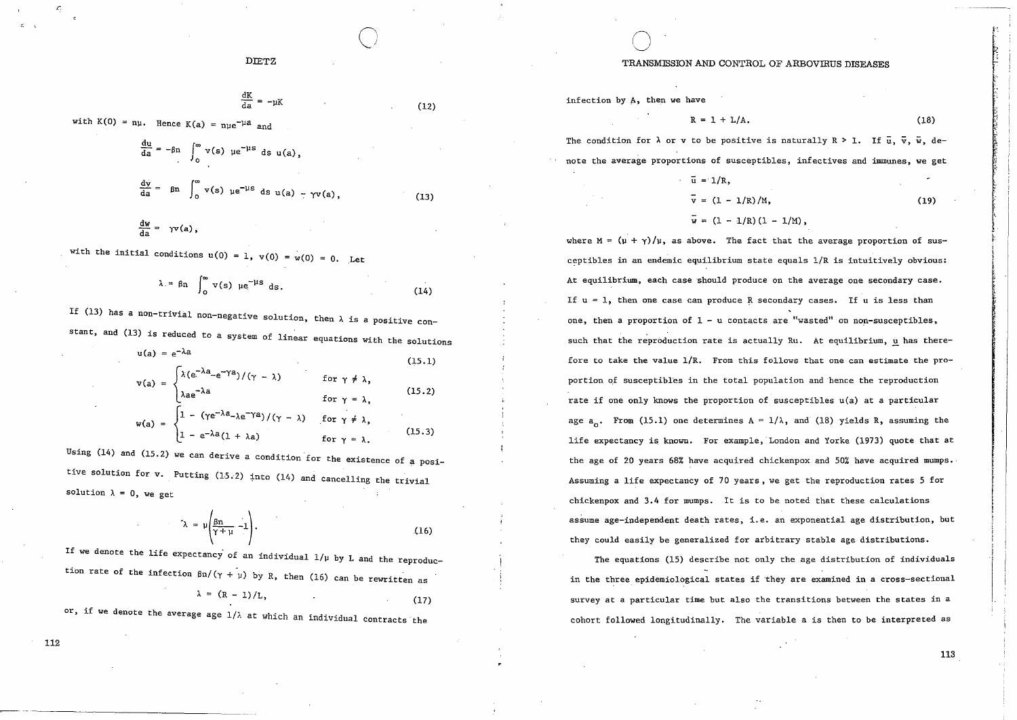$$
\frac{dK}{da} = -\mu K \tag{12}
$$

with  $K(0) = ny$ . Hence  $K(a) = nye^{-\mu a}$  and

$$
\frac{du}{da} = -\beta n \int_0^\infty v(s) \mu e^{-\mu s} ds u(a),
$$
  

$$
\frac{dv}{da} = \beta n \int_0^\infty v(s) \mu e^{-\mu s} ds u(a) - \gamma v(a),
$$
 (13)  

$$
\frac{dw}{da} = \gamma v(a),
$$

with the initial conditions  $u(0) = 1$ ,  $v(0) = w(0) = 0$ . Let

$$
\lambda = \beta n \int_0^\infty v(s) \, \mu e^{-\mu s} \, ds. \tag{14}
$$

If (13) has a non-trivial non-negative solution, then  $\lambda$  is a positive constant, and (13) is reduced to a system of linear equations with the solutions  $u(a) = e^{-\lambda a}$ 

$$
\mathbf{v}(\mathbf{a}) = \begin{cases} \lambda(e^{-\lambda a} - e^{-\gamma a}) / (\gamma - \lambda) & \text{for } \gamma \neq \lambda, \\ \lambda a e^{-\lambda a} & \text{for } \gamma = \lambda, \end{cases}
$$
(15.1)  

$$
\mathbf{w}(\mathbf{a}) = \begin{cases} 1 - (\gamma e^{-\lambda a} - \lambda e^{-\gamma a}) / (\gamma - \lambda) & \text{for } \gamma \neq \lambda, \\ 1 - e^{-\lambda a} (1 + \lambda a) & \text{for } \gamma = \lambda. \end{cases}
$$
(15.3)

Using (14) and (15.2) we can derive a condition for the existence of a positive solution for v. Putting (15.2) into (14) and cancelling the trivial solution  $\lambda = 0$ , we get

$$
\lambda = \mu \left( \frac{g_n}{\gamma + \mu} - 1 \right). \tag{16}
$$

If we denote the life expectancy of an individual  $1/\mu$  by L and the reproduction rate of the infection  $\beta n/(\gamma + \mu)$  by R, then (16) can be rewritten as

$$
= (R-1)/L,
$$

 $(17)$ 

or, if we denote the average age  $1/\lambda$  at which an individual contracts the

#### TRANSMISSION AND CONTROL OF ARBOVIRUS DISEASES

infection by A, then we have

$$
A. \t(18)
$$

The condition for  $\lambda$  or v to be positive is naturally  $R > 1$ . If  $\bar{u}$ ,  $\bar{v}$ ,  $\bar{w}$ , denote the average proportions of susceptibles, infectives and immunes, we get

 $R = 1 + L/2$ 

$$
\bar{u} = 1/R,
$$
  
\n
$$
\bar{v} = (1 - 1/R)/M,
$$
  
\n
$$
\bar{v} = (1 - 1/R)(1 - 1/M).
$$
 (19)

where  $M = (\mu + \gamma)/\mu$ , as above. The fact that the average proportion of susceptibles in an endemic equilibrium state equals 1/R is intuitively obvious: At equilibrium, each case should produce on the average one secondary case. If  $u = 1$ , then one case can produce R secondary cases. If  $u$  is less than one, then a proportion of  $1 - u$  contacts are "wasted" on non-susceptibles, such that the reproduction rate is actually Ru. At equilibrium, u has therefore to take the value  $1/R$ . From this follows that one can estimate the proportion of susceptibles in the total population and hence the reproduction rate if one only knows the proportion of susceptibles u(a) at a particular age  $a_0$ . From (15.1) one determines  $A = 1/\lambda$ , and (18) yields R, assuming the life expectancy is known. For example, London and Yorke (1973) quote that at the age of 20 years 68% have acquired chickenpox and 50% have acquired mumps. Assuming a life expectancy of 70 years, we get the reproduction rates 5 for chickenpox and 3.4 for mumps. It is to be noted that these calculations assume age-independent death rates, i.e. an exponential age distribution, but they could easily be generalized for arbitrary stable age distributions.

The equations (15) describe not only the age distribution of individuals in the three epidemiological states if they are examined in a cross-sectional survey at a particular time but also the transitions between the states in a cohort followed longitudinally. The variable a is then to be interpreted as

112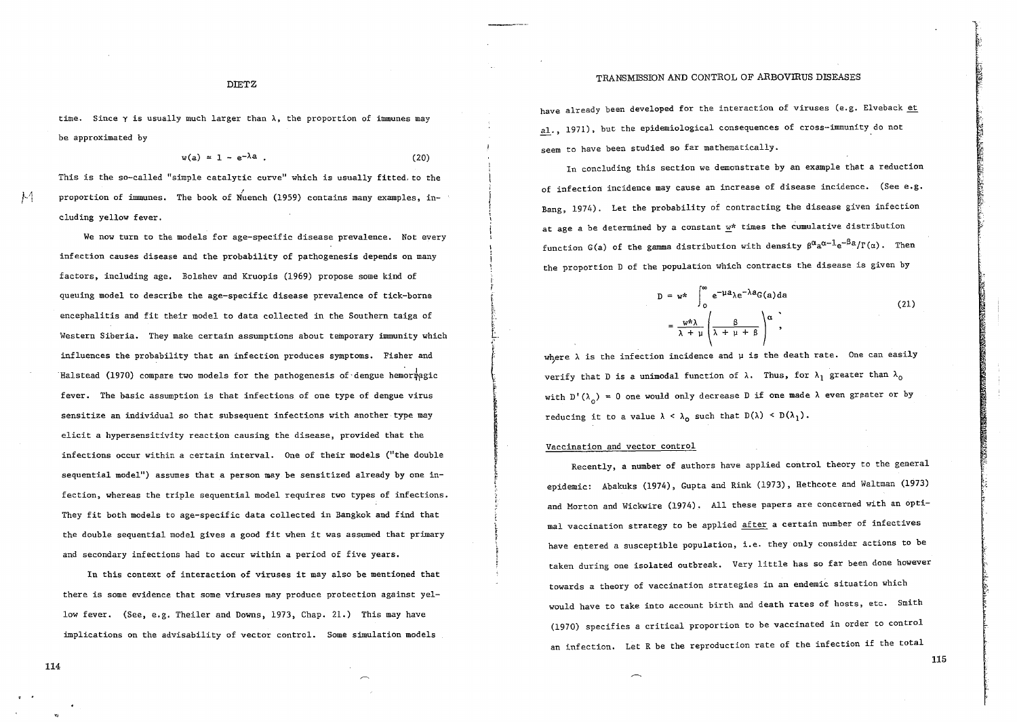#### TRANSMISSION AND CONTROL OF ARBOVIRUS DISEASES

DIETZ

time. Since  $\gamma$  is usually much larger than  $\lambda$ , the proportion of immunes may be approximated by

 $w(a) = 1 - e^{-\lambda a}$  (20)

This is the so-called "simple catalytic curve" which is usually fitted, to the proportion of immunes. The book of Nuench (1959) contains many examples, including yellow fever.

We now turn to the models for age-specific disease prevalence. Not every infection causes disease and the probability of pathogenesis depends on many factors, including age. Bolshev and Kruopis (1969) propose some kind of queuing model to describe the age-specific disease prevalence of tick-borne encephalitis and fit their model to data collected in the Southern taiga of Western Siberia. They make certain assumptions about temporary immunity which influences the probability that an infection produces symptoms. Fisher and Halstead (1970) compare two models for the pathogenesis of dengue hemorregic fever. The basic assumption is that infections of one type of dengue virus sensitize an individual so that subsequent infections with another type may elicit a hypersensitivity reaction causing the disease, provided that the infections occur within a certain interval. One of their models ("the double sequential model") assumes that a person may be sensitized already by one infection, whereas the tripIe sequential model requires two types of infections. They fit both models to age-specific data collected in Bangkok and find that the double sequential model gives a good fit when it was assumed that primary and secondary infections had to accur within a period of five years.

In this context of interaction of viruses it may also be mentioned that there is some evidence that some viruses may produce protection against yellow fever. (See, e.g. Theiler and Downs, 1973, Chap. 21.) This may have implications on the advisability of vector control. Some simulation models

have already been developed for the interaction of viruses (e.g. Elveback et al., 1971), but the epidemiological consequences of cross-immunity do not seem to have been studied so far mathematically.

In concluding this section we demonstrate by an example that a reduction of infection incidence may cause an increase of disease incidence. (See e.g. Bang, 1974). Let the probability of contracting the disease given infection at age a be determined by a constant  $w^*$  times the cumulative distribution function G(a) of the gamma distribution with density  $\beta^{\alpha}a^{\alpha-1}e^{-\beta}a/\Gamma(\alpha)$ . Then the proportion D of the population which contracts the disease is given by

$$
D = w^* \int_0^{\infty} e^{-\mu a} \lambda e^{-\lambda a} G(a) da
$$
  

$$
= \frac{w^* \lambda}{\lambda + \mu} \left( \frac{\beta}{\lambda + \mu + \beta} \right)^{\alpha},
$$
 (21)

where  $\lambda$  is the infection incidence and  $\mu$  is the death rate. One can easily verify that D is a unimodal function of  $\lambda$ . Thus, for  $\lambda_1$  greater than  $\lambda_0$ with  $D'(\lambda_0) = 0$  one would only decrease D if one made  $\lambda$  even greater or by reducing it to a value  $\lambda < \lambda_0$  such that  $D(\lambda) < D(\lambda_1)$ .

#### Vaccination and vector control

Recently, a number of authors have applied control theory to the general epidemic: Abakuks (1974), Gupta and Rink (1973), Hethcote and Waltman (1973) and Morton and Wickwire (1974). All these papers are concerned with an optimal vaccination strategy to be applied after a certain number of infectives have entered a susceptible population, i.e. they only consider actions to be taken during one isolated outbreak. Very little has so far been done however towards a theory of vaccination strategies in an endemic situation which would have to take into account birth and death rates of hosts, etc. Smith (1970) specifies a critical proportion to be vaccinated in order to control an infection. Let R be the reproduction rate of the infection if the total

114

 $k<sub>1</sub>$  $\cdots$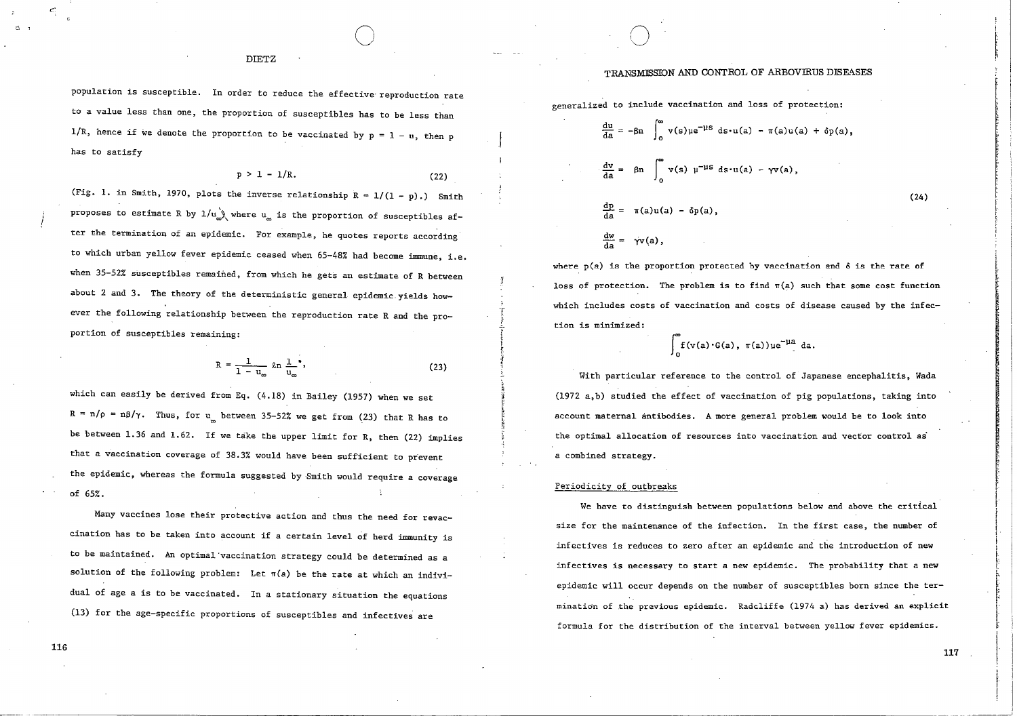population is susceptible. In order to reduce the effective· reproduction rate to a value less than one, the proportion of susceptibles has to be 1ess than 1/R, hence if we denote the proportion to be vaccinated by  $p = 1 - u$ , then p has to satisfy

 $p > 1 - 1/R.$  (22)

o

(Fig. 1. in Smith, 1970, plots the inverse relationship  $R = 1/(1 - p)$ .) Smith proposes to estimate R by  $1/u_{\infty}^{\rightarrow}$ , where  $u_{\infty}$  is the proportion of susceptibles after Ehe termination of an epidemic. For example, he quotes reports according to which urban ye1low fever epidemic ceased when 65-48% had become immune, i.e. when 35-52% susceptibles remained, from which he gets an estimate of R between about 2 and 3. The theory of the deterministic general epidemic.yields however the following relationship between the reproduction rate Rand the proportion of susceptibles remaining:

$$
R = \frac{1}{1 - u_{\infty}} \ln \frac{1}{u_{\infty}},
$$
 (23)

which can easily be derived from Eq. (4.18) in Bailey (1957) when we set  $R = n/\rho = n\beta/\gamma$ . Thus, for u between 35-52% we get from (23) that R has to be between 1.36 and 1.62. If we take the upper limit for R, then (22) implies that a vaccination coverage of 38.3% would have been sufficient to prevent the epidemic, whereas the formula suggested by Smith would require a coverage of 65%.

Many vaccines lose their protective action and thus the need for revaccination has to be taken into account if a certain level of herd immunity is to be maintained. An optimal·vaccination strategy could be determined as a solution of the following problem: Let  $\pi(a)$  be the rate at which an individual of age a is to be vaccinated. In a stationary situation the equations (13) for the age-specific proportions of susceptibles and infectives are

#### TRANSMISSION AND CONTROL OF ARBOVIRUS DISEASES

generalized to include vaccination and loss of protection:

 $\bigcirc$ 

$$
\frac{du}{da} = -\beta n \int_0^{\infty} v(s)u e^{-\mu s} ds \cdot u(a) - \pi(a)u(a) + \delta p(a),
$$
  

$$
\frac{dv}{da} = \beta n \int_0^{\infty} v(s) u^{-\mu s} ds \cdot u(a) - \gamma v(a),
$$
  

$$
\frac{dp}{da} = \pi(a)u(a) - \delta p(a),
$$
  

$$
\frac{dw}{da} = \gamma v(a),
$$

where  $p(a)$  is the proportion protected by vaccination and  $\delta$  is the rate of loss of protection. The problem is to find  $\pi(a)$  such that some cost function which includes costs of vaccination and costs of disease caused by the infection is minimized:

$$
\int_0^\infty f(v(a)\cdot G(a), \pi(a))\mu e^{-\mu a} da.
$$

With particular reference to the control of Japanese encephalitis, Wada (1972 a,b) studied the effect of vaccination of pig populations, taking into account maternal antibodies. A more general problem would be to look into the optimal allocation of resources into vaccination and vector control as a combined strategy.

#### Periodicity of outbreaks

T

We have to distinguish between populations below and above the critical size for the maintenance of the infection. In the first case, the number of infectives is reduces to zero after an epidemie and the introduction of new infectives is necessary to start a new epidemie. The probability that a new epidemic will occur depends on the number of susceptibles born since the termination of the previous epidemic. Radcliffe (1974 a) has derived an explicit formula for the distribution of the interval between yellow fever epidemies.

ຕ. **,** 

(24)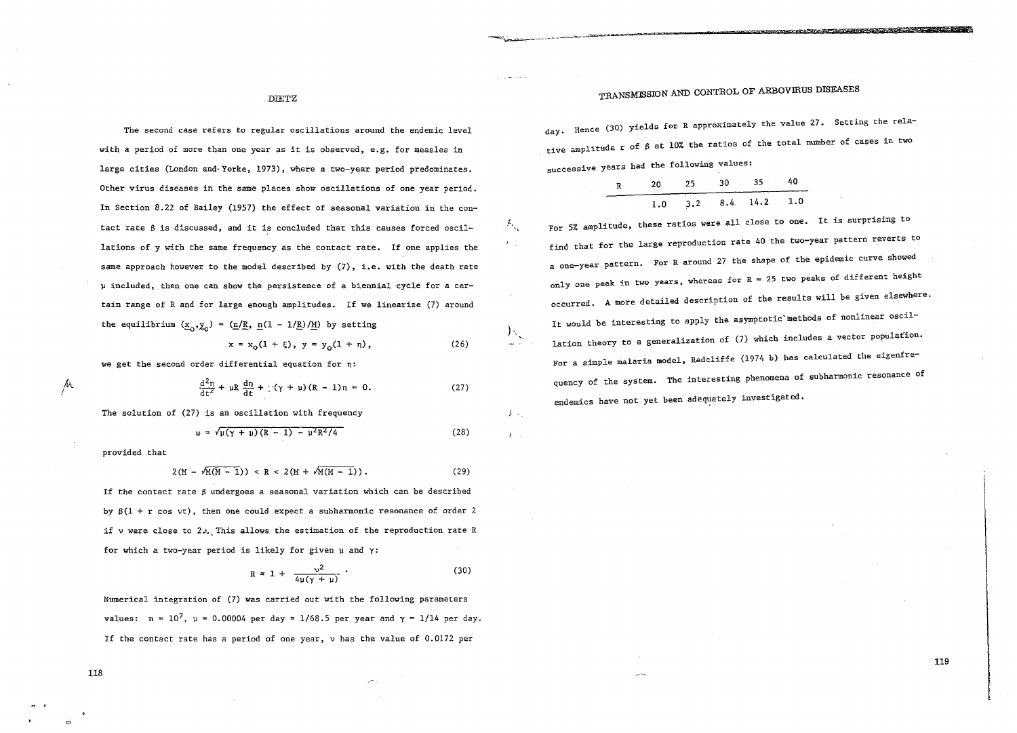### TRANSMlSSION AND CONTROL OF ARBOVIRUS DISEASES

e and the control of the State State of the State of the Control of the Control of the Control of the Control of

DlETZ

The second case refers to regular oscillations around the endemic level with a period of more than one year as it is observed, e.g. for measles in large cities (London and·Yorke, 1973), where a two-year period predominates. Other virus diseases in the same places show oscillations of one year period. In Section 8.22 of Bailey (1957) the effect of seasonal variation in the contact rate ß is discussed, and it is concluded that this causes forced oscillations of y with the same frequency as the contact rate. If one applies the same approach however to the model described by (7), i.e. with the death rate µ included, then one can show the persistence of a biennial cycle for a certain range of Rand for large enough amplitudes. If we linearize (7) around the equilibrium  $(\underline{x}_{0}, \underline{y}_{0}) = (\underline{n}/\underline{R}, \underline{n}(1 - 1/\underline{R})/\underline{M})$  by setting

$$
x = x_0(1 + \xi), \ y = y_0(1 + \eta), \tag{26}
$$

 $T_{\rm{max}}$ 

八.

 $\mathcal{Y}_{\mathcal{F}_{\mathcal{A}}}$  $\mathcal{Y} \subset \mathbb{C}$ 

we get the second order differential equation for n:

$$
\frac{d^2\eta}{dt^2} + \mu R \frac{d\eta}{dt} + \left(\gamma + \mu\right)(R - 1)\eta = 0. \tag{27}
$$

The solution of (27) is an oseillation with frequeney

$$
\omega = \sqrt{\mu(\gamma + \mu)(R - 1) - \mu^2 R^2 / 4}
$$
 (28)

provided that

*A-\.*  !

$$
2(M - \sqrt{M(M-1)}) < R < 2(M + \sqrt{M(M-1)}). \tag{29}
$$

If the contact rate  $\beta$  undergoes a seasonal variation which can be described by  $\beta(1 + r \cos \nu t)$ , then one could expect a subharmonic resonance of order 2 if *v* were close to 2., This allows the estimation of the reproduction rate R for which a two-year period is likely for given  $\mu$  and  $\gamma$ :

$$
R \approx 1 + \frac{v^2}{4\mu(\gamma + \mu)} \tag{30}
$$

Numerieal integration of (7) was earried out with the following parameters values:  $n = 10^7$ ,  $\mu = 0.00004$  per day = 1/68.5 per year and  $\gamma = 1/14$  per day. If the contact rate has aperiod of one year, v has the value of 0.0172 per

day. Hence (30) yields for R approximately the value 27. Setting the relative amplitude r of ß at 10% the ratios of the total number of eases in two successive years had the following values:

R 20 25 30 35 40 1.0 3.2 8.4 14.2 1.0

For 5% amplitude, these ratios were all elose to one. It is surprising to find that for the large reproduetion rate 40 the two-year pattern reverts to a one-year pattern. For R around 27 the shape of the epidemie eurve showed only one peak in two years, whereas for  $R = 25$  two peaks of different height occurred. A more detailed description of the results will be given elsewhere. It would be interesting to apply the asymptotic'methods of nonlinear oscillation theory to a generalization of  $(7)$  which includes a vector population. For a simple malaria model, Radcliffe (1974 b) has calculated the eigenfrequency of the system. The interesting phenomena of subharmonie resonance of endemics have not yet been adequately investigated.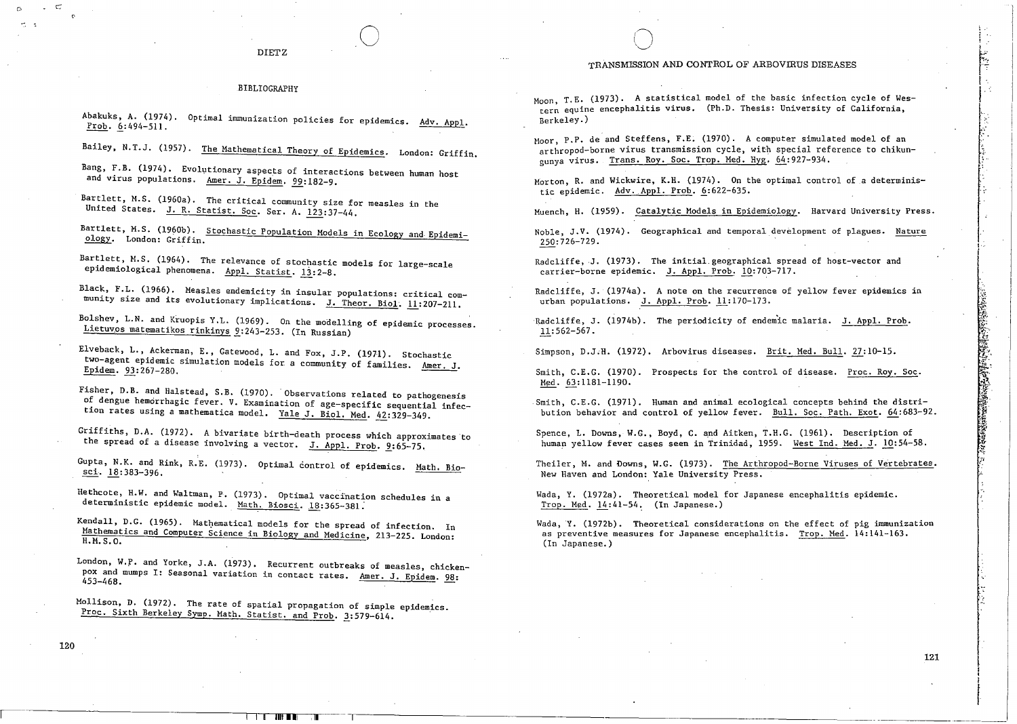#### BIBLIOGRAPHY

Abakuks. A. (1974). Optimal immunization policies for epidemics. Adv. Appl. Prob. 6:494-511.

Bailey, N.T.J. (1957). The Mathematical Theory of Epidemics. London: Griffin.

Bang, F.B. (1974). Evolutionary aspects of interactions between human host and virus populations. Amer. J. Epidem. 99:182-9.

Bartlett, M.S. (1960a). The critical community size for measles in the United States. J. R. Statist. Soc. Ser. A. 123:37-44.

Bartlett, M.S. (1960b). Stochastic Population Models in Ecology and Epidemiology. London: Griffin.

Bartlett, M.S. (1964). The relevance of stochastic models for large-scale epidemiological phenomena. Appl. Statist. 13:2-8.

Black, F.L. (1966). Measles endemicity in insular populations: critical community size and its evolutionary implications. J. Theor. Biol. 11:207-211.

Bolshev, L.N. and Kruopis Y.L. (1969). On the modelling of epidemic processes. Lietuvos matematikos rinkinys 9:243-253. (In Russian)

Elveback, L., Ackerman, E., Gatewood, L. and Fox, J.P. (1971). Stochastic two-agent epidemic simulation models for a community of families. Amer. J. Epidem. 93:267-280.

Fisher, D.B. and Halstead, S.B. (1970). Observations related to pathogenesis of dengue hemorrhagic fever. V. Examination of age-specific sequential infection rates using a mathematica model. Yale J. Biol. Med. 42:329-349.

Griffiths, D.A. (1972). A bivariate birth-death process which approximates to the spread of a disease involving a vector. J. Appl. Prob. 9:65-75.

Gupta, N.K. and Rink, R.E. (1973). Optimal control of epidemics. Math. Biosci.  $18:383-396$ .

Hethcote, H.W. and Waltman, P. (1973). Optimal vaccination schedules in a deterministic epidemic model. Math. Biosci. 18:365-381.

Kendall, D.G. (1965). Mathematical models for the spread of infection. In Mathematics and Computer Science in Biology and Medicine, 213-225. London: H.M.S.O.

London, W.P. and Yorke, J.A. (1973). Recurrent outbreaks of measles, chickenpox and mumps I: Seasonal variation in contact rates. Amer. J. Epidem. 98: 453-468.

Mollison, D. (1972). The rate of spatial propagation of simple epidemics. Proc. Sixth Berkeley Symp. Math. Statist. and Prob. 3:579-614.

#### TRANSMISSION AND CONTROL OF ARBOVIRUS DISEASES

Moon. T.E. (1973). A statistical model of the basic infection cycle of Western equine encephalitis virus. (Ph.D. Thesis: University of California. Rerkeley.)

Moor, P.P. de and Steffens, F.E. (1970). A computer simulated model of an arthropod-borne virus transmission cycle, with special reference to chikunounva virus. Trans. Roy. Soc. Trop. Med. Hyg. 64:927-934.

Morton, R. and Wickwire, K.H. (1974). On the optimal control of a deterministic epidemic. Adv. Appl. Prob. 6:622-635.

Muench, H. (1959). Catalytic Models in Epidemiology. Harvard University Press.

Noble. J.V. (1974). Geographical and temporal development of plagues. Nature 250:726-729.

Radcliffe, J. (1973). The initial geographical spread of host-vector and carrier-borne epidemic. J. Appl. Prob. 10:703-717.

Radcliffe, J. (1974a). A note on the recurrence of yellow fever epidemics in urban populations. J. Appl. Prob. 11:170-173.

Radcliffe, J. (1974b). The periodicity of endemic malaria. J. Appl. Prob.  $11:562 - 567$ .

Simpson, D.J.H. (1972). Arbovirus diseases. Brit. Med. Bull. 27:10-15.

Smith, C.E.G. (1970). Prospects for the control of disease. Proc. Roy. Soc. Med. 63:1181-1190.

Smith, C.E.G. (1971). Human and animal ecological concepts behind the distribution behavior and control of yellow fever. Bull. Soc. Path. Exot. 64:683-92.

Spence, L. Downs, W.G., Boyd, C. and Aitken, T.H.G. (1961). Description of human yellow fever cases seen in Trinidad, 1959. West Ind. Med. J. 10:54-58.

Theiler, M. and Downs, W.G. (1973). The Arthropod-Borne Viruses of Vertebrates. New Haven and London: Yale University Press.

Wada, Y. (1972a). Theoretical model for Japanese encephalitis epidemic. Trop. Med. 14:41-54. (In Japanese.)

Wada, Y. (1972b). Theoretical considerations on the effect of pig immunization as preventive measures for Japanese encephalitis. Trop. Med. 14:141-163. (In Japanese.)

Ċ.